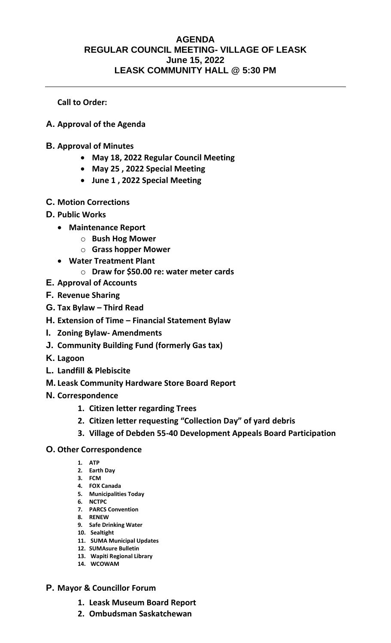## **AGENDA REGULAR COUNCIL MEETING- VILLAGE OF LEASK June 15, 2022 LEASK COMMUNITY HALL @ 5:30 PM**

**Call to Order:** 

- **A. Approval of the Agenda**
- **B. Approval of Minutes**
	- **May 18, 2022 Regular Council Meeting**
	- **May 25 , 2022 Special Meeting**
	- **June 1 , 2022 Special Meeting**
- **C. Motion Corrections**
- **D. Public Works**
	- **Maintenance Report** 
		- o **Bush Hog Mower**
		- o **Grass hopper Mower**
	- **Water Treatment Plant** 
		- o **Draw for \$50.00 re: water meter cards**
- **E. Approval of Accounts**
- **F. Revenue Sharing**
- **G. Tax Bylaw – Third Read**
- **H. Extension of Time – Financial Statement Bylaw**
- **I. Zoning Bylaw- Amendments**
- **J. Community Building Fund (formerly Gas tax)**
- **K. Lagoon**
- **L. Landfill & Plebiscite**
- **M. Leask Community Hardware Store Board Report**
- **N. Correspondence**
	- **1. Citizen letter regarding Trees**
	- **2. Citizen letter requesting "Collection Day" of yard debris**
	- **3. Village of Debden 55-40 Development Appeals Board Participation**
- **O. Other Correspondence**
	- **1. ATP**
	- **2. Earth Day**
	- **3. FCM**
	- **4. FOX Canada 5. Municipalities Today**
	- **6. NCTPC**
	- **7. PARCS Convention**
	- **8. RENEW**
	- **9. Safe Drinking Water**
	- **10. Sealtight**
	- **11. SUMA Municipal Updates**
	- **12. SUMAsure Bulletin**
	- **13. Wapiti Regional Library 14. WCOWAM**
- **P. Mayor & Councillor Forum**
	- **1. Leask Museum Board Report**
	- **2. Ombudsman Saskatchewan**